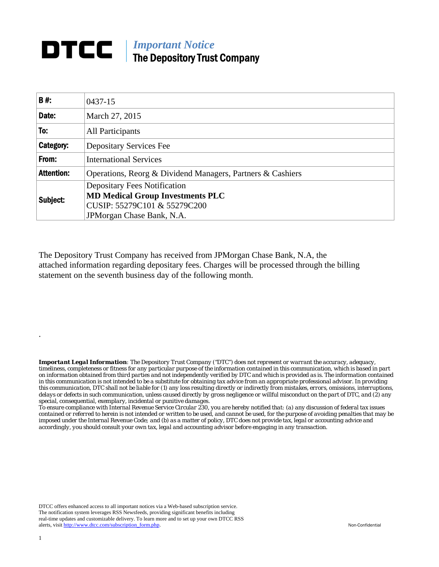## **DTCC** | *Important Notice* The Depository Trust Company

| <b>B#:</b>        | 0437-15                                                    |  |  |  |  |  |
|-------------------|------------------------------------------------------------|--|--|--|--|--|
| Date:             | March 27, 2015                                             |  |  |  |  |  |
| To:               | All Participants                                           |  |  |  |  |  |
| Category:         | <b>Depositary Services Fee</b>                             |  |  |  |  |  |
| From:             | <b>International Services</b>                              |  |  |  |  |  |
| <b>Attention:</b> | Operations, Reorg & Dividend Managers, Partners & Cashiers |  |  |  |  |  |
| Subject:          | <b>Depositary Fees Notification</b>                        |  |  |  |  |  |
|                   | <b>MD Medical Group Investments PLC</b>                    |  |  |  |  |  |
|                   | CUSIP: 55279C101 & 55279C200                               |  |  |  |  |  |
|                   | JPM organ Chase Bank, N.A.                                 |  |  |  |  |  |

The Depository Trust Company has received from JPMorgan Chase Bank, N.A, the attached information regarding depositary fees. Charges will be processed through the billing statement on the seventh business day of the following month.

*Important Legal Information: The Depository Trust Company ("DTC") does not represent or warrant the accuracy, adequacy, timeliness, completeness or fitness for any particular purpose of the information contained in this communication, which is based in part on information obtained from third parties and not independently verified by DTC and which is provided as is. The information contained in this communication is not intended to be a substitute for obtaining tax advice from an appropriate professional advisor. In providing this communication, DTC shall not be liable for (1) any loss resulting directly or indirectly from mistakes, errors, omissions, interruptions, delays or defects in such communication, unless caused directly by gross negligence or willful misconduct on the part of DTC, and (2) any special, consequential, exemplary, incidental or punitive damages.* 

*To ensure compliance with Internal Revenue Service Circular 230, you are hereby notified that: (a) any discussion of federal tax issues contained or referred to herein is not intended or written to be used, and cannot be used, for the purpose of avoiding penalties that may be imposed under the Internal Revenue Code; and (b) as a matter of policy, DTC does not provide tax, legal or accounting advice and accordingly, you should consult your own tax, legal and accounting advisor before engaging in any transaction.*

DTCC offers enhanced access to all important notices via a Web-based subscription service. The notification system leverages RSS Newsfeeds, providing significant benefits including real-time updates and customizable delivery. To learn more and to set up your own DTCC RSS alerts, visit http://www.dtcc.com/subscription\_form.php. Non-Confidential

.